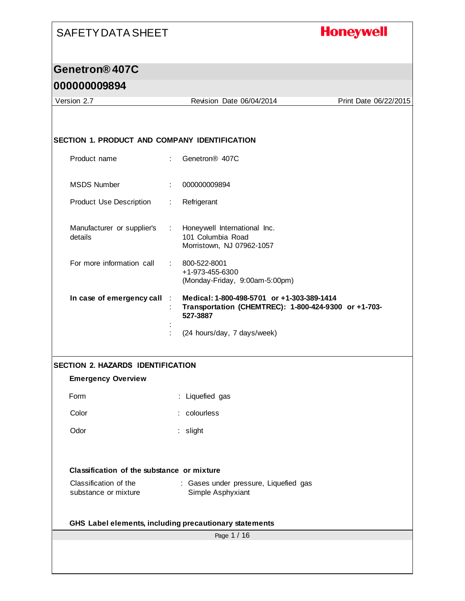### **Honeywell**

#### **Genetron® 407C**

#### **000000009894**

Page 1 / 16 Version 2.7 Revision Date 06/04/2014 Print Date 06/22/2015 **SECTION 1. PRODUCT AND COMPANY IDENTIFICATION** Product name : Genetron® 407C MSDS Number : 000000009894 Product Use Description : Refrigerant Manufacturer or supplier's details : Honeywell International Inc. 101 Columbia Road Morristown, NJ 07962-1057 For more information call : 800-522-8001 +1-973-455-6300 (Monday-Friday, 9:00am-5:00pm) **In case of emergency call** : **Medical: 1-800-498-5701 or +1-303-389-1414** : **Transportation (CHEMTREC): 1-800-424-9300 or +1-703- 527-3887** : : (24 hours/day, 7 days/week) **SECTION 2. HAZARDS IDENTIFICATION Emergency Overview** Form : Liquefied gas Color : colourless Odor : slight **Classification of the substance or mixture** Classification of the substance or mixture : Gases under pressure, Liquefied gas Simple Asphyxiant **GHS Label elements, including precautionary statements**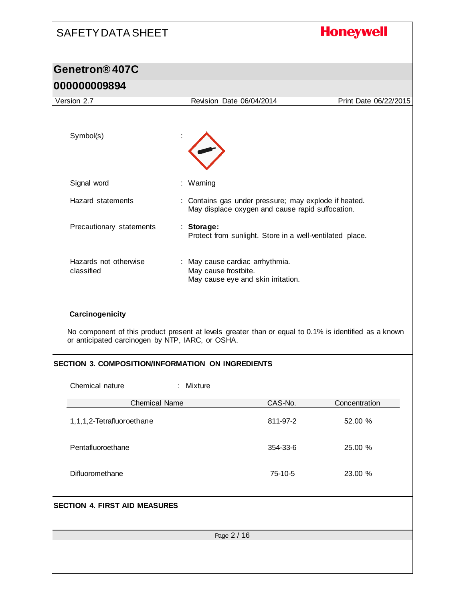# SAFETY DATA SHEET **Honeywell Genetron® 407C 000000009894** Version 2.7 Revision Date 06/04/2014 Print Date 06/22/2015 Symbol(s) Signal word : Warning Hazard statements : Contains gas under pressure; may explode if heated. May displace oxygen and cause rapid suffocation. Precautionary statements : **Storage:**  Protect from sunlight. Store in a well-ventilated place. Hazards not otherwise : May cause cardiac arrhythmia. classified May cause frostbite. May cause eye and skin irritation. **Carcinogenicity** No component of this product present at levels greater than or equal to 0.1% is identified as a known or anticipated carcinogen by NTP, IARC, or OSHA. **SECTION 3. COMPOSITION/INFORMATION ON INGREDIENTS** Chemical nature : Mixture Chemical Name CAS-No. CAS-No. Concentration 1,1,1,2-Tetrafluoroethane 811-97-2 52.00 % Pentafluoroethane 354-33-6 25.00 % Difluoromethane 75-10-5 23.00 % **SECTION 4. FIRST AID MEASURES**Page 2 / 16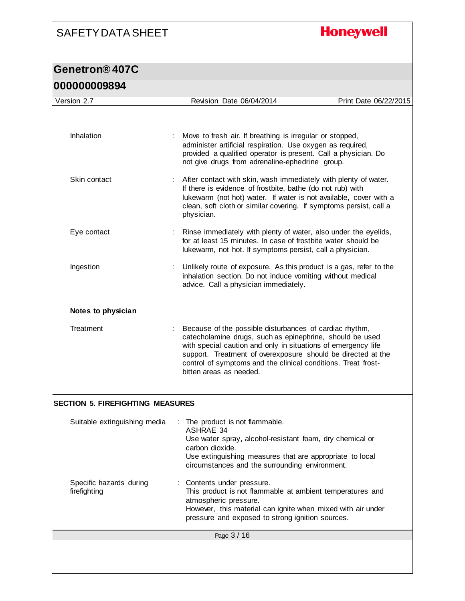## **Honeywell**

| UUUUUUUUYOY4                            |                                                                                                                                                                                                                                                                                                                                                  |                       |
|-----------------------------------------|--------------------------------------------------------------------------------------------------------------------------------------------------------------------------------------------------------------------------------------------------------------------------------------------------------------------------------------------------|-----------------------|
| Version 2.7                             | Revision Date 06/04/2014                                                                                                                                                                                                                                                                                                                         | Print Date 06/22/2015 |
|                                         |                                                                                                                                                                                                                                                                                                                                                  |                       |
| Inhalation                              | Move to fresh air. If breathing is irregular or stopped,<br>administer artificial respiration. Use oxygen as required,<br>provided a qualified operator is present. Call a physician. Do<br>not give drugs from adrenaline-ephedrine group.                                                                                                      |                       |
| Skin contact                            | After contact with skin, wash immediately with plenty of water.<br>If there is evidence of frostbite, bathe (do not rub) with<br>lukewarm (not hot) water. If water is not available, cover with a<br>clean, soft cloth or similar covering. If symptoms persist, call a<br>physician.                                                           |                       |
| Eye contact                             | Rinse immediately with plenty of water, also under the eyelids,<br>for at least 15 minutes. In case of frostbite water should be<br>lukewarm, not hot. If symptoms persist, call a physician.                                                                                                                                                    |                       |
| Ingestion                               | Unlikely route of exposure. As this product is a gas, refer to the<br>inhalation section. Do not induce vomiting without medical<br>advice. Call a physician immediately.                                                                                                                                                                        |                       |
| Notes to physician                      |                                                                                                                                                                                                                                                                                                                                                  |                       |
| Treatment                               | Because of the possible disturbances of cardiac rhythm,<br>catecholamine drugs, such as epinephrine, should be used<br>with special caution and only in situations of emergency life<br>support. Treatment of overexposure should be directed at the<br>control of symptoms and the clinical conditions. Treat frost-<br>bitten areas as needed. |                       |
| <b>SECTION 5. FIREFIGHTING MEASURES</b> |                                                                                                                                                                                                                                                                                                                                                  |                       |
| Suitable extinguishing media            | The product is not flammable.<br><b>ASHRAE 34</b><br>Use water spray, alcohol-resistant foam, dry chemical or<br>carbon dioxide.<br>Use extinguishing measures that are appropriate to local<br>circumstances and the surrounding environment.                                                                                                   |                       |
| Specific hazards during<br>firefighting | Contents under pressure.<br>This product is not flammable at ambient temperatures and<br>atmospheric pressure.<br>However, this material can ignite when mixed with air under<br>pressure and exposed to strong ignition sources.                                                                                                                |                       |
|                                         | Page 3 / 16                                                                                                                                                                                                                                                                                                                                      |                       |
|                                         |                                                                                                                                                                                                                                                                                                                                                  |                       |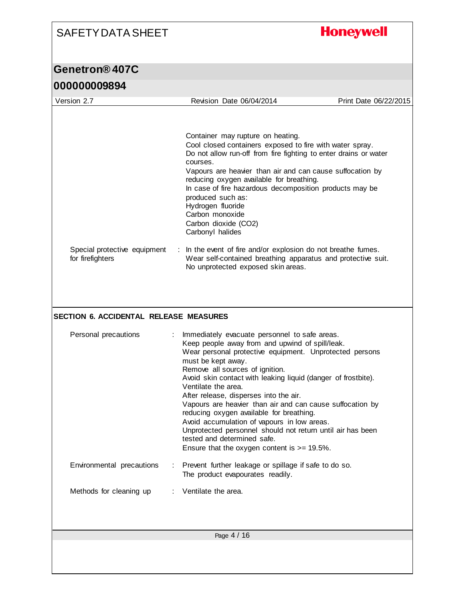# **Honeywell**

| VVVVVVVJUJ <del>4</del>                          |                                                                                                                                                                         |                       |
|--------------------------------------------------|-------------------------------------------------------------------------------------------------------------------------------------------------------------------------|-----------------------|
| Version 2.7                                      | Revision Date 06/04/2014                                                                                                                                                | Print Date 06/22/2015 |
|                                                  |                                                                                                                                                                         |                       |
|                                                  | Container may rupture on heating.<br>Cool closed containers exposed to fire with water spray.                                                                           |                       |
|                                                  | Do not allow run-off from fire fighting to enter drains or water<br>courses.<br>Vapours are heavier than air and can cause suffocation by                               |                       |
|                                                  | reducing oxygen available for breathing.<br>In case of fire hazardous decomposition products may be<br>produced such as:<br>Hydrogen fluoride<br>Carbon monoxide        |                       |
|                                                  | Carbon dioxide (CO2)<br>Carbonyl halides                                                                                                                                |                       |
| Special protective equipment<br>for firefighters | In the event of fire and/or explosion do not breathe fumes.<br>÷.<br>Wear self-contained breathing apparatus and protective suit.<br>No unprotected exposed skin areas. |                       |
|                                                  |                                                                                                                                                                         |                       |
|                                                  |                                                                                                                                                                         |                       |
| <b>SECTION 6. ACCIDENTAL RELEASE MEASURES</b>    |                                                                                                                                                                         |                       |
|                                                  |                                                                                                                                                                         |                       |
| Personal precautions                             | Immediately evacuate personnel to safe areas.<br>÷<br>Keep people away from and upwind of spill/leak.<br>Wear personal protective equipment. Unprotected persons        |                       |
|                                                  | must be kept away.<br>Remove all sources of ignition.                                                                                                                   |                       |
|                                                  | Avoid skin contact with leaking liquid (danger of frostbite).<br>Ventilate the area.                                                                                    |                       |
|                                                  | After release, disperses into the air.<br>Vapours are heavier than air and can cause suffocation by                                                                     |                       |
|                                                  | reducing oxygen available for breathing.<br>Avoid accumulation of vapours in low areas.                                                                                 |                       |
|                                                  | Unprotected personnel should not return until air has been<br>tested and determined safe.                                                                               |                       |
|                                                  | Ensure that the oxygen content is $>= 19.5\%$ .                                                                                                                         |                       |
| Environmental precautions                        | Prevent further leakage or spillage if safe to do so.<br>÷<br>The product evapourates readily.                                                                          |                       |
| Methods for cleaning up                          | Ventilate the area.                                                                                                                                                     |                       |
|                                                  |                                                                                                                                                                         |                       |
|                                                  | Page 4 / 16                                                                                                                                                             |                       |
|                                                  |                                                                                                                                                                         |                       |
|                                                  |                                                                                                                                                                         |                       |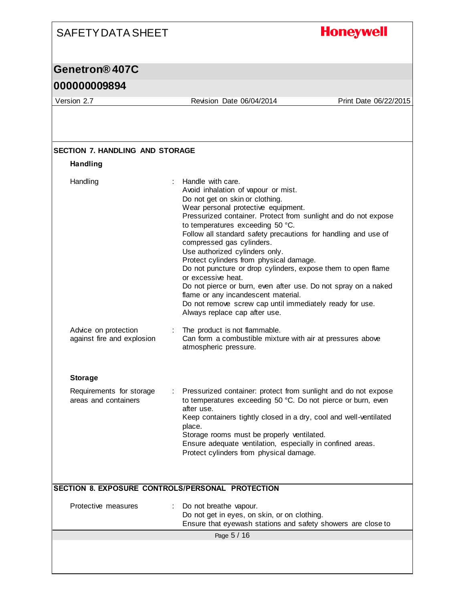## **Honeywell**

### **Genetron® 407C**

#### **000000009894**

Version 2.7 Revision Date 06/04/2014 Print Date 06/22/2015

| Handling                                           |                                                                                                                                                                                                                                                                                                                                                                                                                                                                                                                                                                                                                                                                                                                    |
|----------------------------------------------------|--------------------------------------------------------------------------------------------------------------------------------------------------------------------------------------------------------------------------------------------------------------------------------------------------------------------------------------------------------------------------------------------------------------------------------------------------------------------------------------------------------------------------------------------------------------------------------------------------------------------------------------------------------------------------------------------------------------------|
| Handling                                           | : Handle with care.<br>Avoid inhalation of vapour or mist.<br>Do not get on skin or clothing.<br>Wear personal protective equipment.<br>Pressurized container. Protect from sunlight and do not expose<br>to temperatures exceeding 50 °C.<br>Follow all standard safety precautions for handling and use of<br>compressed gas cylinders.<br>Use authorized cylinders only.<br>Protect cylinders from physical damage.<br>Do not puncture or drop cylinders, expose them to open flame<br>or excessive heat.<br>Do not pierce or burn, even after use. Do not spray on a naked<br>flame or any incandescent material.<br>Do not remove screw cap until immediately ready for use.<br>Always replace cap after use. |
| Advice on protection<br>against fire and explosion | The product is not flammable.<br>Can form a combustible mixture with air at pressures above<br>atmospheric pressure.                                                                                                                                                                                                                                                                                                                                                                                                                                                                                                                                                                                               |
| <b>Storage</b>                                     |                                                                                                                                                                                                                                                                                                                                                                                                                                                                                                                                                                                                                                                                                                                    |
| Requirements for storage<br>areas and containers   | Pressurized container: protect from sunlight and do not expose<br>to temperatures exceeding 50 °C. Do not pierce or burn, even<br>after use.<br>Keep containers tightly closed in a dry, cool and well-ventilated<br>place.<br>Storage rooms must be properly ventilated.<br>Ensure adequate ventilation, especially in confined areas.<br>Protect cylinders from physical damage.                                                                                                                                                                                                                                                                                                                                 |
|                                                    | SECTION 8. EXPOSURE CONTROLS/PERSONAL PROTECTION                                                                                                                                                                                                                                                                                                                                                                                                                                                                                                                                                                                                                                                                   |
| Protective measures                                | Do not breathe vapour.<br>Do not get in eyes, on skin, or on clothing.<br>Ensure that eyewash stations and safety showers are close to                                                                                                                                                                                                                                                                                                                                                                                                                                                                                                                                                                             |
|                                                    | Page 5 / 16                                                                                                                                                                                                                                                                                                                                                                                                                                                                                                                                                                                                                                                                                                        |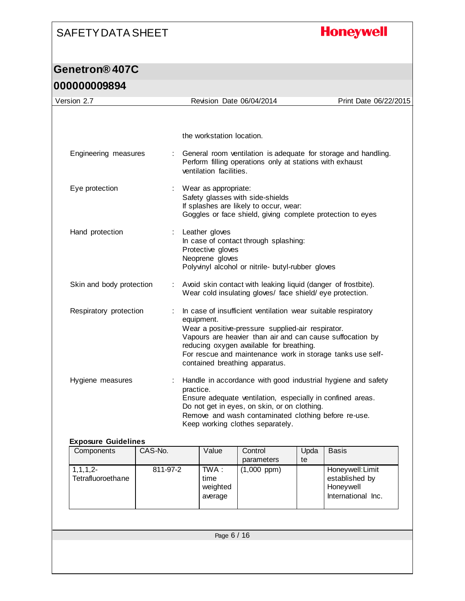## **Honeywell**

| Version 2.7                              |                             |                                                                                                                                                                                                                                                                                                                                           |                                                        | Revision Date 06/04/2014                                                                                                                                                                               |      | Print Date 06/22/2015                                                 |
|------------------------------------------|-----------------------------|-------------------------------------------------------------------------------------------------------------------------------------------------------------------------------------------------------------------------------------------------------------------------------------------------------------------------------------------|--------------------------------------------------------|--------------------------------------------------------------------------------------------------------------------------------------------------------------------------------------------------------|------|-----------------------------------------------------------------------|
|                                          |                             |                                                                                                                                                                                                                                                                                                                                           |                                                        |                                                                                                                                                                                                        |      |                                                                       |
|                                          |                             |                                                                                                                                                                                                                                                                                                                                           |                                                        |                                                                                                                                                                                                        |      |                                                                       |
|                                          |                             |                                                                                                                                                                                                                                                                                                                                           | the workstation location.                              |                                                                                                                                                                                                        |      |                                                                       |
| Engineering measures                     | ÷                           |                                                                                                                                                                                                                                                                                                                                           | ventilation facilities.                                | Perform filling operations only at stations with exhaust                                                                                                                                               |      | General room ventilation is adequate for storage and handling.        |
| Eye protection                           |                             |                                                                                                                                                                                                                                                                                                                                           | : Wear as appropriate:                                 | Safety glasses with side-shields<br>If splashes are likely to occur, wear:<br>Goggles or face shield, giving complete protection to eyes                                                               |      |                                                                       |
| Hand protection                          | ÷                           |                                                                                                                                                                                                                                                                                                                                           | Leather gloves<br>Protective gloves<br>Neoprene gloves | In case of contact through splashing:<br>Polyvinyl alcohol or nitrile- butyl-rubber gloves                                                                                                             |      |                                                                       |
| Skin and body protection                 | $\mathcal{L}_{\mathcal{A}}$ |                                                                                                                                                                                                                                                                                                                                           |                                                        | Avoid skin contact with leaking liquid (danger of frostbite).<br>Wear cold insulating gloves/ face shield/eye protection.                                                                              |      |                                                                       |
| Respiratory protection<br>÷              |                             | In case of insufficient ventilation wear suitable respiratory<br>equipment.<br>Wear a positive-pressure supplied-air respirator.<br>Vapours are heavier than air and can cause suffocation by<br>reducing oxygen available for breathing.<br>For rescue and maintenance work in storage tanks use self-<br>contained breathing apparatus. |                                                        |                                                                                                                                                                                                        |      |                                                                       |
| Hygiene measures                         | ÷                           | practice.                                                                                                                                                                                                                                                                                                                                 |                                                        | Ensure adequate ventilation, especially in confined areas.<br>Do not get in eyes, on skin, or on clothing.<br>Remove and wash contaminated clothing before re-use.<br>Keep working clothes separately. |      | Handle in accordance with good industrial hygiene and safety          |
| <b>Exposure Guidelines</b><br>Components | CAS-No.                     |                                                                                                                                                                                                                                                                                                                                           | Value                                                  | Control                                                                                                                                                                                                | Upda | <b>Basis</b>                                                          |
|                                          |                             |                                                                                                                                                                                                                                                                                                                                           |                                                        | parameters                                                                                                                                                                                             | te   |                                                                       |
| $1, 1, 1, 2-$<br>Tetrafluoroethane       | 811-97-2                    |                                                                                                                                                                                                                                                                                                                                           | TWA:<br>time<br>weighted<br>average                    | $(1,000$ ppm $)$                                                                                                                                                                                       |      | Honeywell: Limit<br>established by<br>Honeywell<br>International Inc. |
|                                          |                             |                                                                                                                                                                                                                                                                                                                                           |                                                        |                                                                                                                                                                                                        |      |                                                                       |
|                                          |                             |                                                                                                                                                                                                                                                                                                                                           | Page 6 / 16                                            |                                                                                                                                                                                                        |      |                                                                       |
|                                          |                             |                                                                                                                                                                                                                                                                                                                                           |                                                        |                                                                                                                                                                                                        |      |                                                                       |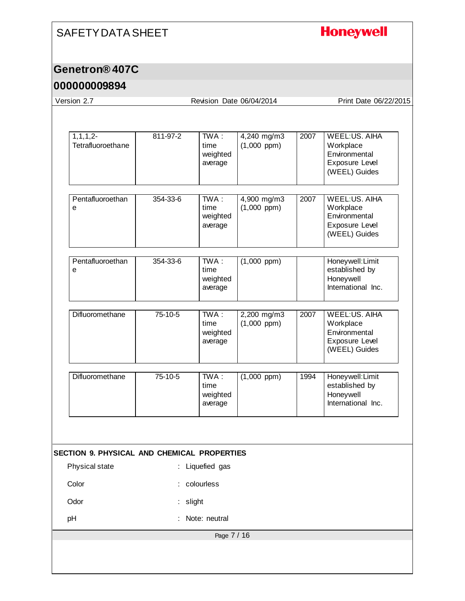### **Honeywell**

#### **Genetron® 407C**

#### **000000009894**

Page 7 / 16 Version 2.7 Revision Date 06/04/2014 Print Date 06/22/2015 1,1,1,2- **Tetrafluoroethane** 811-97-2 TWA : time weighted average 4,240 mg/m3 (1,000 ppm) 2007 WEEL:US. AIHA **Workplace Environmental** Exposure Level (WEEL) Guides **Pentafluoroethan** e 354-33-6 TWA : time weighted average 4,900 mg/m3 (1,000 ppm) 2007 WEEL:US. AIHA **Workplace Environmental** Exposure Level (WEEL) Guides **Pentafluoroethan** e 354-33-6 TWA : time weighted average (1,000 ppm) Honeywell:Limit established by Honeywell International Inc. Difluoromethane 75-10-5 TWA : time weighted average 2,200 mg/m3 (1,000 ppm) 2007 WEEL:US. AIHA Workplace Environmental Exposure Level (WEEL) Guides Difluoromethane 75-10-5 TWA : time weighted average (1,000 ppm) 1994 Honeywell:Limit established by Honeywell International Inc. **SECTION 9. PHYSICAL AND CHEMICAL PROPERTIES** Physical state : Liquefied gas Color : colourless Odor : slight pH : Note: neutral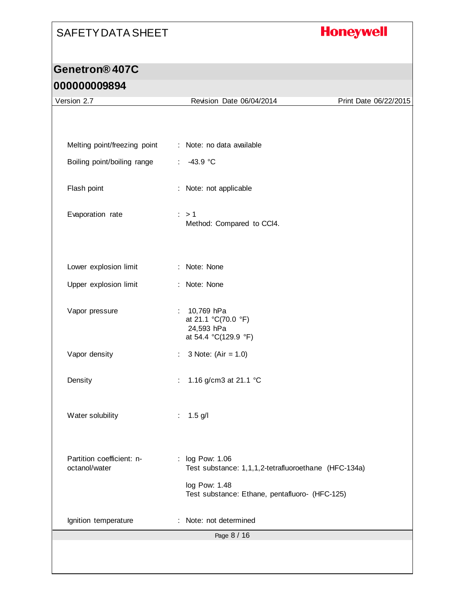## **Honeywell**

| Version 2.7                                | Revision Date 06/04/2014                                                  | Print Date 06/22/2015 |
|--------------------------------------------|---------------------------------------------------------------------------|-----------------------|
|                                            |                                                                           |                       |
|                                            |                                                                           |                       |
| Melting point/freezing point               | : Note: no data available                                                 |                       |
| Boiling point/boiling range                | $-43.9 °C$<br>÷.                                                          |                       |
| Flash point                                | : Note: not applicable                                                    |                       |
| Evaporation rate                           | $\therefore$ > 1<br>Method: Compared to CCI4.                             |                       |
| Lower explosion limit                      | : Note: None                                                              |                       |
| Upper explosion limit                      | : Note: None                                                              |                       |
| Vapor pressure                             | : 10,769 hPa<br>at 21.1 °C(70.0 °F)<br>24,593 hPa<br>at 54.4 °C(129.9 °F) |                       |
| Vapor density                              | 3 Note: $(Air = 1.0)$<br>÷.                                               |                       |
| Density                                    | 1.16 g/cm3 at 21.1 °C<br>÷                                                |                       |
| Water solubility                           | $1.5$ g/l                                                                 |                       |
| Partition coefficient: n-<br>octanol/water | : log Pow: 1.06<br>Test substance: 1,1,1,2-tetrafluoroethane (HFC-134a)   |                       |
|                                            | log Pow: 1.48<br>Test substance: Ethane, pentafluoro- (HFC-125)           |                       |
| Ignition temperature                       | Note: not determined                                                      |                       |
|                                            | Page 8 / 16                                                               |                       |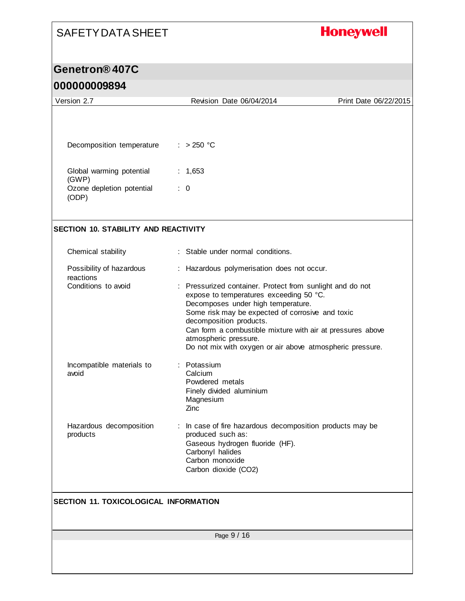## **Honeywell**

### **Genetron® 407C**

### **000000009894**

| Version 2.7                                  | Revision Date 06/04/2014                                                                                                                                                                                                                                                                                                                                                      | Print Date 06/22/2015 |
|----------------------------------------------|-------------------------------------------------------------------------------------------------------------------------------------------------------------------------------------------------------------------------------------------------------------------------------------------------------------------------------------------------------------------------------|-----------------------|
|                                              |                                                                                                                                                                                                                                                                                                                                                                               |                       |
| Decomposition temperature                    | $: > 250$ °C                                                                                                                                                                                                                                                                                                                                                                  |                       |
| Global warming potential<br>(GWP)            | : $1,653$                                                                                                                                                                                                                                                                                                                                                                     |                       |
| Ozone depletion potential<br>(ODP)           | $\therefore$ 0                                                                                                                                                                                                                                                                                                                                                                |                       |
| <b>SECTION 10. STABILITY AND REACTIVITY</b>  |                                                                                                                                                                                                                                                                                                                                                                               |                       |
| Chemical stability                           | : Stable under normal conditions.                                                                                                                                                                                                                                                                                                                                             |                       |
| Possibility of hazardous<br>reactions        | : Hazardous polymerisation does not occur.                                                                                                                                                                                                                                                                                                                                    |                       |
| Conditions to avoid                          | : Pressurized container. Protect from sunlight and do not<br>expose to temperatures exceeding 50 °C.<br>Decomposes under high temperature.<br>Some risk may be expected of corrosive and toxic<br>decomposition products.<br>Can form a combustible mixture with air at pressures above<br>atmospheric pressure.<br>Do not mix with oxygen or air above atmospheric pressure. |                       |
| Incompatible materials to<br>avoid           | : Potassium<br>Calcium<br>Powdered metals<br>Finely divided aluminium<br>Magnesium<br>Zinc                                                                                                                                                                                                                                                                                    |                       |
| Hazardous decomposition<br>products          | : In case of fire hazardous decomposition products may be<br>produced such as:<br>Gaseous hydrogen fluoride (HF).<br>Carbonyl halides<br>Carbon monoxide<br>Carbon dioxide (CO2)                                                                                                                                                                                              |                       |
| <b>SECTION 11. TOXICOLOGICAL INFORMATION</b> |                                                                                                                                                                                                                                                                                                                                                                               |                       |
|                                              | Page 9 / 16                                                                                                                                                                                                                                                                                                                                                                   |                       |
|                                              |                                                                                                                                                                                                                                                                                                                                                                               |                       |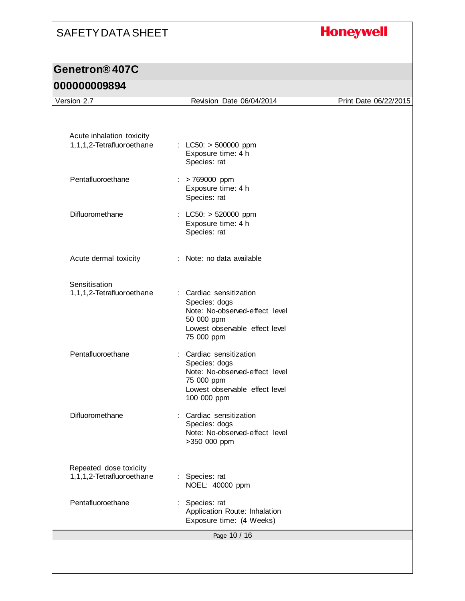## **Honeywell**

## **Genetron® 407C**

### **000000009894**

| Acute inhalation toxicity<br>1,1,1,2-Tetrafluoroethane | : LC50: $>$ 500000 ppm<br>Exposure time: 4 h<br>Species: rat                                                                              |  |
|--------------------------------------------------------|-------------------------------------------------------------------------------------------------------------------------------------------|--|
| Pentafluoroethane                                      | > 769000 ppm<br>Exposure time: 4 h<br>Species: rat                                                                                        |  |
| Difluoromethane                                        | : LC50: $> 520000$ ppm<br>Exposure time: 4 h<br>Species: rat                                                                              |  |
| Acute dermal toxicity                                  | : Note: no data available                                                                                                                 |  |
| Sensitisation<br>1,1,1,2-Tetrafluoroethane             | : Cardiac sensitization<br>Species: dogs<br>Note: No-observed-effect level<br>50 000 ppm<br>Lowest observable effect level<br>75 000 ppm  |  |
| Pentafluoroethane                                      | : Cardiac sensitization<br>Species: dogs<br>Note: No-observed-effect level<br>75 000 ppm<br>Lowest observable effect level<br>100 000 ppm |  |
| Difluoromethane                                        | Cardiac sensitization<br>Species: dogs<br>Note: No-observed-effect level<br>>350 000 ppm                                                  |  |
| Repeated dose toxicity<br>1,1,1,2-Tetrafluoroethane    | : Species: rat<br>NOEL: 40000 ppm                                                                                                         |  |
| Pentafluoroethane                                      | Species: rat<br>Application Route: Inhalation<br>Exposure time: (4 Weeks)                                                                 |  |
|                                                        | Page 10 / 16                                                                                                                              |  |
|                                                        |                                                                                                                                           |  |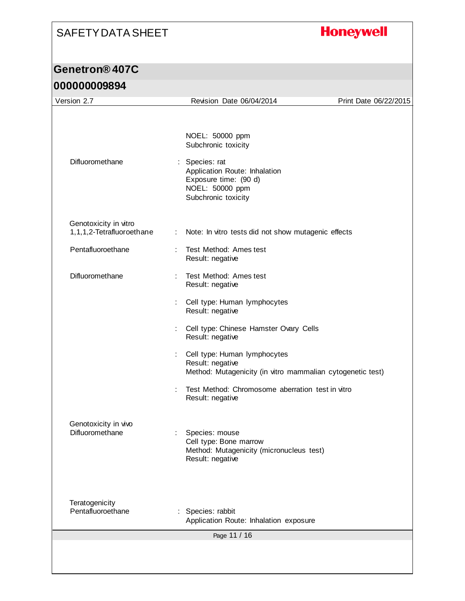# **Honeywell**

| Version 2.7                                        |   | Revision Date 06/04/2014                                                                                           | Print Date 06/22/2015 |
|----------------------------------------------------|---|--------------------------------------------------------------------------------------------------------------------|-----------------------|
|                                                    |   |                                                                                                                    |                       |
|                                                    |   | NOEL: 50000 ppm<br>Subchronic toxicity                                                                             |                       |
| Difluoromethane                                    |   | : Species: rat<br>Application Route: Inhalation<br>Exposure time: (90 d)<br>NOEL: 50000 ppm<br>Subchronic toxicity |                       |
| Genotoxicity in vitro<br>1,1,1,2-Tetrafluoroethane |   | : Note: In vitro tests did not show mutagenic effects                                                              |                       |
| Pentafluoroethane                                  |   | Test Method: Ames test<br>Result: negative                                                                         |                       |
| Difluoromethane                                    |   | Test Method: Ames test<br>Result: negative                                                                         |                       |
|                                                    |   | Cell type: Human lymphocytes<br>Result: negative                                                                   |                       |
|                                                    |   | Cell type: Chinese Hamster Ovary Cells<br>Result: negative                                                         |                       |
|                                                    | ÷ | Cell type: Human lymphocytes<br>Result: negative<br>Method: Mutagenicity (in vitro mammalian cytogenetic test)     |                       |
|                                                    | ÷ | Test Method: Chromosome aberration test in vitro<br>Result: negative                                               |                       |
| Genotoxicity in vivo<br>Difluoromethane            |   | Species: mouse<br>Cell type: Bone marrow<br>Method: Mutagenicity (micronucleus test)<br>Result: negative           |                       |
| Teratogenicity<br>Pentafluoroethane                |   | Species: rabbit<br>Application Route: Inhalation exposure                                                          |                       |
|                                                    |   | Page 11 / 16                                                                                                       |                       |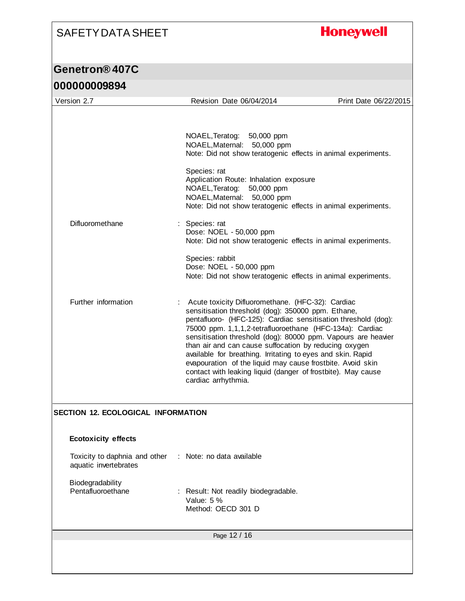## **Honeywell**

| 000000009894 |
|--------------|
|--------------|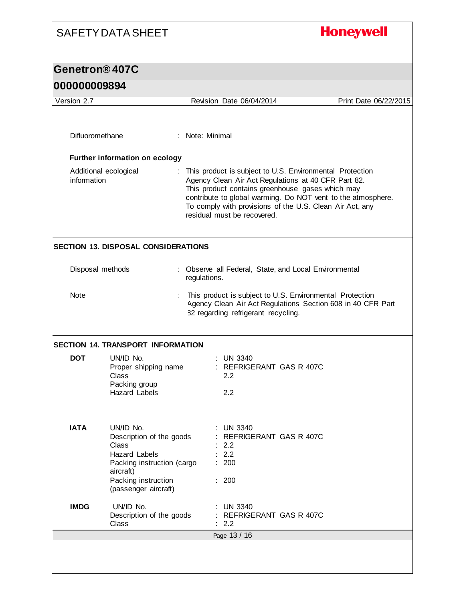# **Honeywell**

| 000000009894                   |                                                                                                                                                                  |                 |                                                                                                                                                                                                                                                                                                                                  |                       |
|--------------------------------|------------------------------------------------------------------------------------------------------------------------------------------------------------------|-----------------|----------------------------------------------------------------------------------------------------------------------------------------------------------------------------------------------------------------------------------------------------------------------------------------------------------------------------------|-----------------------|
| Version 2.7                    |                                                                                                                                                                  |                 | Revision Date 06/04/2014                                                                                                                                                                                                                                                                                                         | Print Date 06/22/2015 |
| Difluoromethane<br>information | Further information on ecology<br>Additional ecological                                                                                                          | : Note: Minimal | : This product is subject to U.S. Environmental Protection<br>Agency Clean Air Act Regulations at 40 CFR Part 82.<br>This product contains greenhouse gases which may<br>contribute to global warming. Do NOT vent to the atmosphere.<br>To comply with provisions of the U.S. Clean Air Act, any<br>residual must be recovered. |                       |
|                                | <b>SECTION 13. DISPOSAL CONSIDERATIONS</b>                                                                                                                       |                 |                                                                                                                                                                                                                                                                                                                                  |                       |
| Disposal methods               |                                                                                                                                                                  | regulations.    | Observe all Federal, State, and Local Environmental                                                                                                                                                                                                                                                                              |                       |
| Note                           |                                                                                                                                                                  |                 | This product is subject to U.S. Environmental Protection<br>Agency Clean Air Act Regulations Section 608 in 40 CFR Part<br>82 regarding refrigerant recycling.                                                                                                                                                                   |                       |
|                                | <b>SECTION 14. TRANSPORT INFORMATION</b>                                                                                                                         |                 |                                                                                                                                                                                                                                                                                                                                  |                       |
| <b>DOT</b>                     | UN/ID No.<br>Proper shipping name<br>Class<br>Packing group<br><b>Hazard Labels</b>                                                                              |                 | $:$ UN 3340<br>: REFRIGERANT GAS R 407C<br>2.2<br>2.2                                                                                                                                                                                                                                                                            |                       |
| <b>IATA</b>                    | UN/ID No.<br>Description of the goods<br>Class<br><b>Hazard Labels</b><br>Packing instruction (cargo<br>aircraft)<br>Packing instruction<br>(passenger aircraft) |                 | <b>UN 3340</b><br>REFRIGERANT GAS R 407C<br>2.2<br>2.2<br>200<br>: 200                                                                                                                                                                                                                                                           |                       |
| <b>IMDG</b>                    | UN/ID No.<br>Description of the goods<br>Class                                                                                                                   |                 | <b>UN 3340</b><br><b>REFRIGERANT GAS R 407C</b><br>2.2                                                                                                                                                                                                                                                                           |                       |
|                                |                                                                                                                                                                  |                 | Page 13 / 16                                                                                                                                                                                                                                                                                                                     |                       |
|                                |                                                                                                                                                                  |                 |                                                                                                                                                                                                                                                                                                                                  |                       |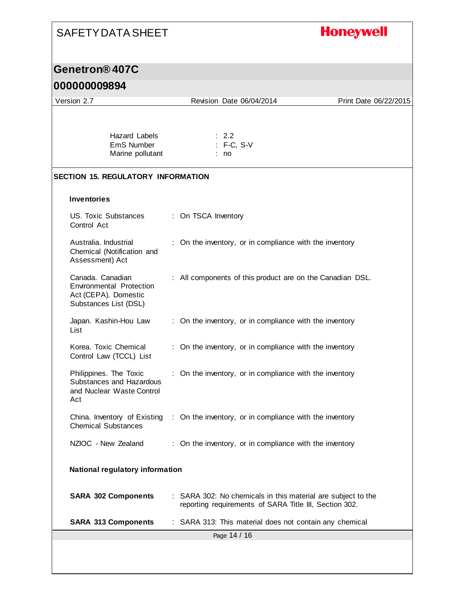## **Honeywell**

### **Genetron® 407C**

### **000000009894**

| ,,,,,,,,,,,,                                                                                         |                                        |                                                                                                                        |                       |
|------------------------------------------------------------------------------------------------------|----------------------------------------|------------------------------------------------------------------------------------------------------------------------|-----------------------|
| Version 2.7                                                                                          | Revision Date 06/04/2014               |                                                                                                                        | Print Date 06/22/2015 |
| Hazard Labels<br>EmS Number<br>Marine pollutant                                                      | $\therefore$ 2.2<br>: F-C, S-V<br>: no |                                                                                                                        |                       |
| <b>SECTION 15. REGULATORY INFORMATION</b>                                                            |                                        |                                                                                                                        |                       |
| <b>Inventories</b>                                                                                   |                                        |                                                                                                                        |                       |
| US. Toxic Substances<br>Control Act                                                                  | : On TSCA Inventory                    |                                                                                                                        |                       |
| Australia. Industrial<br>Chemical (Notification and<br>Assessment) Act                               |                                        | : On the inventory, or in compliance with the inventory                                                                |                       |
| Canada, Canadian<br><b>Environmental Protection</b><br>Act (CEPA). Domestic<br>Substances List (DSL) |                                        | : All components of this product are on the Canadian DSL.                                                              |                       |
| Japan. Kashin-Hou Law<br>List                                                                        |                                        | : On the inventory, or in compliance with the inventory                                                                |                       |
| Korea. Toxic Chemical<br>Control Law (TCCL) List                                                     |                                        | : On the inventory, or in compliance with the inventory                                                                |                       |
| Philippines. The Toxic<br>Substances and Hazardous<br>and Nuclear Waste Control<br>Act               |                                        | : On the inventory, or in compliance with the inventory                                                                |                       |
| China. Inventory of Existing<br><b>Chemical Substances</b>                                           |                                        | : On the inventory, or in compliance with the inventory                                                                |                       |
| NZIOC - New Zealand                                                                                  |                                        | : On the inventory, or in compliance with the inventory                                                                |                       |
| National regulatory information                                                                      |                                        |                                                                                                                        |                       |
| <b>SARA 302 Components</b>                                                                           |                                        | : SARA 302: No chemicals in this material are subject to the<br>reporting requirements of SARA Title III, Section 302. |                       |
| <b>SARA 313 Components</b>                                                                           |                                        | : SARA 313: This material does not contain any chemical                                                                |                       |
|                                                                                                      | Page 14 / 16                           |                                                                                                                        |                       |
|                                                                                                      |                                        |                                                                                                                        |                       |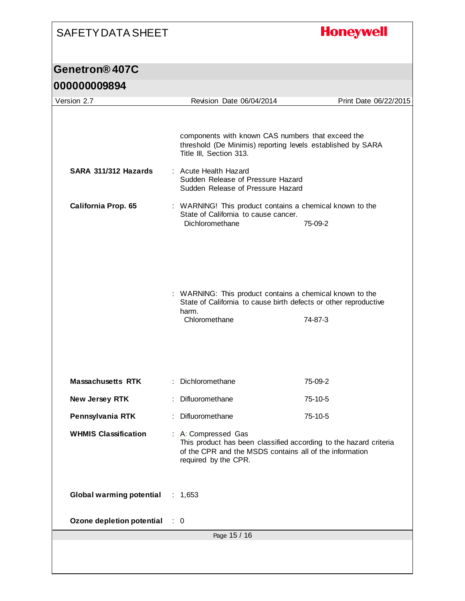## **Honeywell**

| 000000009894 |  |
|--------------|--|
|--------------|--|

| Version 2.7                     |  | Revision Date 06/04/2014                                                                                                                                                                                                                       | Print Date 06/22/2015 |  |  |
|---------------------------------|--|------------------------------------------------------------------------------------------------------------------------------------------------------------------------------------------------------------------------------------------------|-----------------------|--|--|
|                                 |  |                                                                                                                                                                                                                                                |                       |  |  |
| SARA 311/312 Hazards            |  | components with known CAS numbers that exceed the<br>threshold (De Minimis) reporting levels established by SARA<br>Title III, Section 313.<br>: Acute Health Hazard<br>Sudden Release of Pressure Hazard<br>Sudden Release of Pressure Hazard |                       |  |  |
|                                 |  |                                                                                                                                                                                                                                                |                       |  |  |
| California Prop. 65             |  | : WARNING! This product contains a chemical known to the<br>State of California to cause cancer.<br>Dichloromethane                                                                                                                            | 75-09-2               |  |  |
|                                 |  | : WARNING: This product contains a chemical known to the<br>State of California to cause birth defects or other reproductive<br>harm.<br>Chloromethane                                                                                         | 74-87-3               |  |  |
| <b>Massachusetts RTK</b>        |  | : Dichloromethane                                                                                                                                                                                                                              | 75-09-2               |  |  |
| New Jersey RTK                  |  | : Difluoromethane                                                                                                                                                                                                                              | 75-10-5               |  |  |
| Pennsylvania RTK                |  | : Difluoromethane                                                                                                                                                                                                                              | $75-10-5$             |  |  |
| <b>WHMIS Classification</b>     |  | A: Compressed Gas<br>This product has been classified according to the hazard criteria<br>of the CPR and the MSDS contains all of the information<br>required by the CPR.                                                                      |                       |  |  |
| <b>Global warming potential</b> |  | : $1,653$                                                                                                                                                                                                                                      |                       |  |  |
| Ozone depletion potential       |  | $\therefore$ 0                                                                                                                                                                                                                                 |                       |  |  |
| Page 15 / 16                    |  |                                                                                                                                                                                                                                                |                       |  |  |
|                                 |  |                                                                                                                                                                                                                                                |                       |  |  |
|                                 |  |                                                                                                                                                                                                                                                |                       |  |  |